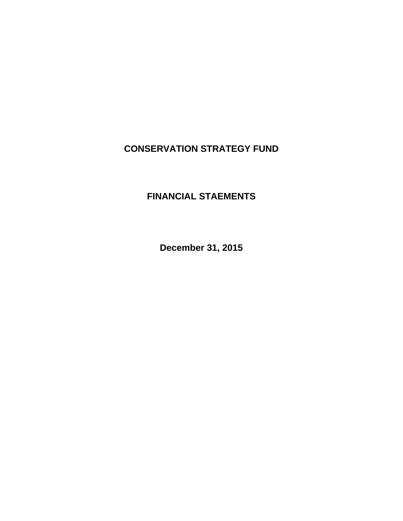## **CONSERVATION STRATEGY FUND**

# **FINANCIAL STAEMENTS**

**December 31, 2015**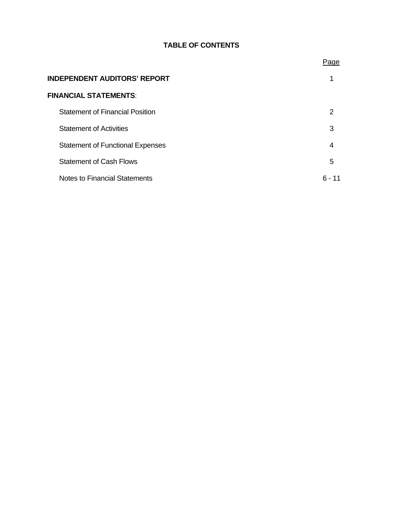## **TABLE OF CONTENTS**

|                                         | Page   |
|-----------------------------------------|--------|
| <b>INDEPENDENT AUDITORS' REPORT</b>     |        |
| <b>FINANCIAL STATEMENTS:</b>            |        |
| <b>Statement of Financial Position</b>  | 2      |
| <b>Statement of Activities</b>          | 3      |
| <b>Statement of Functional Expenses</b> | 4      |
| <b>Statement of Cash Flows</b>          | 5      |
| Notes to Financial Statements           | հ - 11 |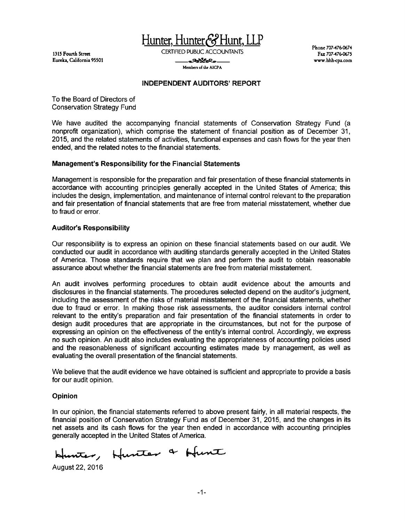1315 Fourth Street Eureka, California 95501 Hunter, Hunter&Hunt, LLP **CERTIFIED PUBLIC ACCOUNTANTS** . <del>ಖಾಹಿ</del>ಲಿ

Members of the AICPA

Phone 707-476-0674 Fax 707-476-0675 www.hhh-cpa.com

#### **INDEPENDENT AUDITORS' REPORT**

To the Board of Directors of **Conservation Strategy Fund** 

We have audited the accompanying financial statements of Conservation Strategy Fund (a nonprofit organization), which comprise the statement of financial position as of December 31, 2015, and the related statements of activities, functional expenses and cash flows for the year then ended, and the related notes to the financial statements.

#### Management's Responsibility for the Financial Statements

Management is responsible for the preparation and fair presentation of these financial statements in accordance with accounting principles generally accepted in the United States of America; this includes the design, implementation, and maintenance of internal control relevant to the preparation and fair presentation of financial statements that are free from material misstatement, whether due to fraud or error.

#### **Auditor's Responsibility**

Our responsibility is to express an opinion on these financial statements based on our audit. We conducted our audit in accordance with auditing standards generally accepted in the United States of America. Those standards require that we plan and perform the audit to obtain reasonable assurance about whether the financial statements are free from material misstatement.

An audit involves performing procedures to obtain audit evidence about the amounts and disclosures in the financial statements. The procedures selected depend on the auditor's judgment, including the assessment of the risks of material misstatement of the financial statements, whether due to fraud or error. In making those risk assessments, the auditor considers internal control relevant to the entity's preparation and fair presentation of the financial statements in order to design audit procedures that are appropriate in the circumstances, but not for the purpose of expressing an opinion on the effectiveness of the entity's internal control. Accordingly, we express no such opinion. An audit also includes evaluating the appropriateness of accounting policies used and the reasonableness of significant accounting estimates made by management, as well as evaluating the overall presentation of the financial statements.

We believe that the audit evidence we have obtained is sufficient and appropriate to provide a basis for our audit opinion.

#### Opinion

In our opinion, the financial statements referred to above present fairly, in all material respects, the financial position of Conservation Strategy Fund as of December 31, 2015, and the changes in its net assets and its cash flows for the year then ended in accordance with accounting principles generally accepted in the United States of America.

Hunter, Hunter & Hunt

August 22, 2016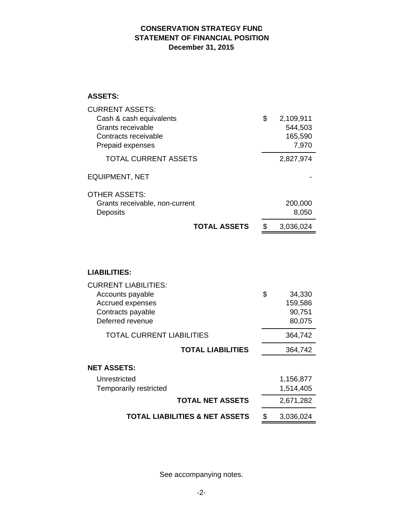## **CONSERVATION STRATEGY FUND STATEMENT OF FINANCIAL POSITION December 31, 2015**

## **ASSETS:**

| <b>CURRENT ASSETS:</b>         |                 |
|--------------------------------|-----------------|
| Cash & cash equivalents        | \$<br>2,109,911 |
| Grants receivable              | 544,503         |
| Contracts receivable           | 165,590         |
| Prepaid expenses               | 7,970           |
| <b>TOTAL CURRENT ASSETS</b>    | 2,827,974       |
| <b>EQUIPMENT, NET</b>          |                 |
| <b>OTHER ASSETS:</b>           |                 |
| Grants receivable, non-current | 200,000         |
| Deposits                       | 8,050           |
| <b>TOTAL ASSETS</b>            | 3,036,024       |

## **LIABILITIES:**

| <b>CURRENT LIABILITIES:</b>               |                 |
|-------------------------------------------|-----------------|
| Accounts payable                          | \$<br>34,330    |
| Accrued expenses                          | 159,586         |
| Contracts payable                         | 90,751          |
| Deferred revenue                          | 80,075          |
| <b>TOTAL CURRENT LIABILITIES</b>          | 364,742         |
| <b>TOTAL LIABILITIES</b>                  | 364,742         |
| <b>NET ASSETS:</b>                        |                 |
| Unrestricted                              | 1,156,877       |
| <b>Temporarily restricted</b>             | 1,514,405       |
| <b>TOTAL NET ASSETS</b>                   | 2,671,282       |
| <b>TOTAL LIABILITIES &amp; NET ASSETS</b> | \$<br>3,036,024 |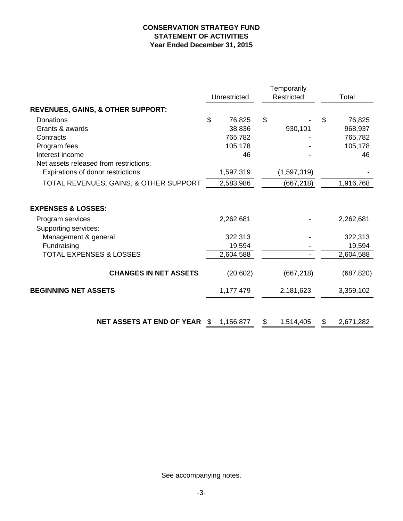## **CONSERVATION STRATEGY FUND STATEMENT OF ACTIVITIES Year Ended December 31, 2015**

|                                              |              |           | Temporarily |             |                 |
|----------------------------------------------|--------------|-----------|-------------|-------------|-----------------|
|                                              | Unrestricted |           | Restricted  |             | Total           |
| <b>REVENUES, GAINS, &amp; OTHER SUPPORT:</b> |              |           |             |             |                 |
| <b>Donations</b>                             | \$           | 76,825    | \$          |             | \$<br>76,825    |
| Grants & awards                              |              | 38,836    |             | 930,101     | 968,937         |
| Contracts                                    |              | 765,782   |             |             | 765,782         |
| Program fees                                 |              | 105,178   |             |             | 105,178         |
| Interest income                              |              | 46        |             |             | 46              |
| Net assets released from restrictions:       |              |           |             |             |                 |
| Expirations of donor restrictions            |              | 1,597,319 |             | (1,597,319) |                 |
| TOTAL REVENUES, GAINS, & OTHER SUPPORT       |              | 2,583,986 |             | (667,218)   | 1,916,768       |
| <b>EXPENSES &amp; LOSSES:</b>                |              |           |             |             |                 |
| Program services                             |              | 2,262,681 |             |             | 2,262,681       |
| Supporting services:                         |              |           |             |             |                 |
| Management & general                         |              | 322,313   |             |             | 322,313         |
| Fundraising                                  |              | 19,594    |             |             | 19,594          |
| <b>TOTAL EXPENSES &amp; LOSSES</b>           |              | 2,604,588 |             |             | 2,604,588       |
| <b>CHANGES IN NET ASSETS</b>                 |              | (20, 602) |             | (667, 218)  | (687, 820)      |
| <b>BEGINNING NET ASSETS</b>                  |              | 1,177,479 |             | 2,181,623   | 3,359,102       |
|                                              |              |           |             |             |                 |
| <b>NET ASSETS AT END OF YEAR</b>             | \$           | 1,156,877 | \$          | 1,514,405   | \$<br>2,671,282 |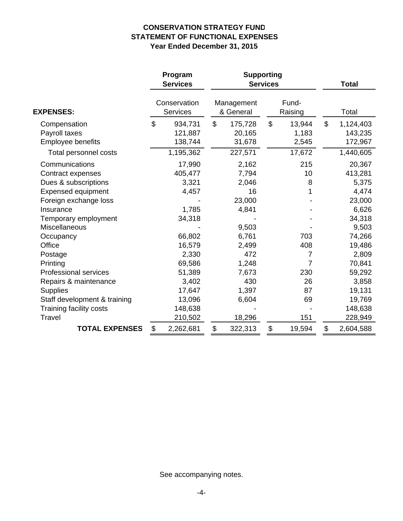## **CONSERVATION STRATEGY FUND STATEMENT OF FUNCTIONAL EXPENSES Year Ended December 31, 2015**

|                                                                            | Program<br><b>Services</b>            | <b>Supporting</b><br><b>Services</b> |                             |                  |                          | <b>Total</b> |                                 |
|----------------------------------------------------------------------------|---------------------------------------|--------------------------------------|-----------------------------|------------------|--------------------------|--------------|---------------------------------|
| <b>EXPENSES:</b>                                                           | Conservation<br><b>Services</b>       | Management<br>& General              |                             | Fund-<br>Raising |                          |              | Total                           |
| Compensation<br>Payroll taxes<br>Employee benefits                         | \$<br>934,731<br>121,887<br>138,744   | $\mathfrak{S}$                       | 175,728<br>20,165<br>31,678 | \$               | 13,944<br>1,183<br>2,545 | $\mathbb{S}$ | 1,124,403<br>143,235<br>172,967 |
| Total personnel costs<br>Communications<br>Contract expenses               | 1,195,362<br>17,990<br>405,477        |                                      | 227,571<br>2,162<br>7,794   |                  | 17,672<br>215<br>10      |              | 1,440,605<br>20,367<br>413,281  |
| Dues & subscriptions<br><b>Expensed equipment</b><br>Foreign exchange loss | 3,321<br>4,457                        |                                      | 2,046<br>16<br>23,000       |                  | 8<br>1                   |              | 5,375<br>4,474<br>23,000        |
| Insurance<br>Temporary employment<br>Miscellaneous                         | 1,785<br>34,318                       |                                      | 4,841<br>9,503              |                  |                          |              | 6,626<br>34,318<br>9,503        |
| Occupancy<br>Office                                                        | 66,802<br>16,579<br>2,330             |                                      | 6,761<br>2,499<br>472       |                  | 703<br>408<br>7          |              | 74,266<br>19,486<br>2,809       |
| Postage<br>Printing<br><b>Professional services</b>                        | 69,586<br>51,389                      |                                      | 1,248<br>7,673              |                  | 7<br>230                 |              | 70,841<br>59,292                |
| Repairs & maintenance<br><b>Supplies</b><br>Staff development & training   | 3,402<br>17,647<br>13,096             |                                      | 430<br>1,397<br>6,604       |                  | 26<br>87<br>69           |              | 3,858<br>19,131<br>19,769       |
| Training facility costs<br><b>Travel</b><br><b>TOTAL EXPENSES</b>          | \$<br>148,638<br>210,502<br>2,262,681 | \$                                   | 18,296<br>322,313           | \$               | 151<br>19,594            | \$           | 148,638<br>228,949<br>2,604,588 |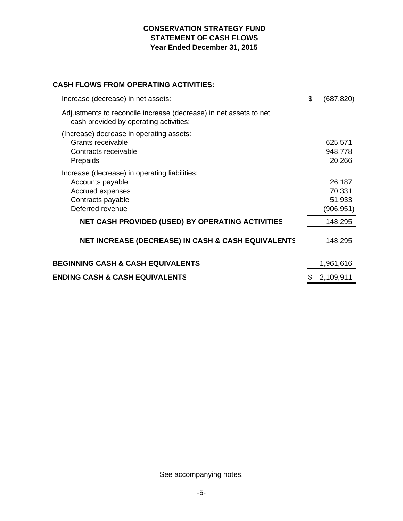## **CONSERVATION STRATEGY FUND STATEMENT OF CASH FLOWS Year Ended December 31, 2015**

## **CASH FLOWS FROM OPERATING ACTIVITIES:**

| Increase (decrease) in net assets:                                                                                             | \$<br>(687, 820)                         |
|--------------------------------------------------------------------------------------------------------------------------------|------------------------------------------|
| Adjustments to reconcile increase (decrease) in net assets to net<br>cash provided by operating activities:                    |                                          |
| (Increase) decrease in operating assets:<br>Grants receivable<br>Contracts receivable<br>Prepaids                              | 625,571<br>948,778<br>20,266             |
| Increase (decrease) in operating liabilities:<br>Accounts payable<br>Accrued expenses<br>Contracts payable<br>Deferred revenue | 26,187<br>70,331<br>51,933<br>(906, 951) |
| <b>NET CASH PROVIDED (USED) BY OPERATING ACTIVITIES</b>                                                                        | 148,295                                  |
| <b>NET INCREASE (DECREASE) IN CASH &amp; CASH EQUIVALENTS</b>                                                                  | 148,295                                  |
| <b>BEGINNING CASH &amp; CASH EQUIVALENTS</b>                                                                                   | 1,961,616                                |
| <b>ENDING CASH &amp; CASH EQUIVALENTS</b>                                                                                      | 2,109,911                                |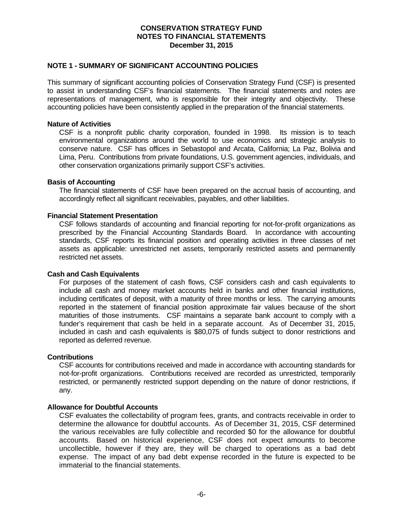#### **NOTE 1 - SUMMARY OF SIGNIFICANT ACCOUNTING POLICIES**

This summary of significant accounting policies of Conservation Strategy Fund (CSF) is presented to assist in understanding CSF's financial statements. The financial statements and notes are representations of management, who is responsible for their integrity and objectivity. These accounting policies have been consistently applied in the preparation of the financial statements.

#### **Nature of Activities**

CSF is a nonprofit public charity corporation, founded in 1998. Its mission is to teach environmental organizations around the world to use economics and strategic analysis to conserve nature. CSF has offices in Sebastopol and Arcata, California; La Paz, Bolivia and Lima, Peru. Contributions from private foundations, U.S. government agencies, individuals, and other conservation organizations primarily support CSF's activities.

#### **Basis of Accounting**

The financial statements of CSF have been prepared on the accrual basis of accounting, and accordingly reflect all significant receivables, payables, and other liabilities.

#### **Financial Statement Presentation**

CSF follows standards of accounting and financial reporting for not-for-profit organizations as prescribed by the Financial Accounting Standards Board. In accordance with accounting standards, CSF reports its financial position and operating activities in three classes of net assets as applicable: unrestricted net assets, temporarily restricted assets and permanently restricted net assets.

#### **Cash and Cash Equivalents**

For purposes of the statement of cash flows, CSF considers cash and cash equivalents to include all cash and money market accounts held in banks and other financial institutions, including certificates of deposit, with a maturity of three months or less. The carrying amounts reported in the statement of financial position approximate fair values because of the short maturities of those instruments. CSF maintains a separate bank account to comply with a funder's requirement that cash be held in a separate account. As of December 31, 2015, included in cash and cash equivalents is \$80,075 of funds subject to donor restrictions and reported as deferred revenue.

#### **Contributions**

CSF accounts for contributions received and made in accordance with accounting standards for not-for-profit organizations. Contributions received are recorded as unrestricted, temporarily restricted, or permanently restricted support depending on the nature of donor restrictions, if any.

#### **Allowance for Doubtful Accounts**

CSF evaluates the collectability of program fees, grants, and contracts receivable in order to determine the allowance for doubtful accounts. As of December 31, 2015, CSF determined the various receivables are fully collectible and recorded \$0 for the allowance for doubtful accounts. Based on historical experience, CSF does not expect amounts to become uncollectible, however if they are, they will be charged to operations as a bad debt expense. The impact of any bad debt expense recorded in the future is expected to be immaterial to the financial statements.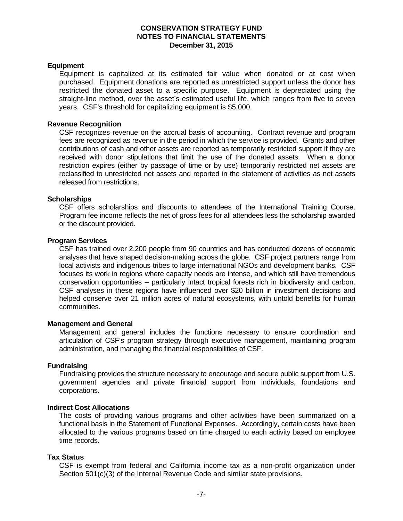#### **Equipment**

Equipment is capitalized at its estimated fair value when donated or at cost when purchased. Equipment donations are reported as unrestricted support unless the donor has restricted the donated asset to a specific purpose. Equipment is depreciated using the straight-line method, over the asset's estimated useful life, which ranges from five to seven years. CSF's threshold for capitalizing equipment is \$5,000.

#### **Revenue Recognition**

CSF recognizes revenue on the accrual basis of accounting. Contract revenue and program fees are recognized as revenue in the period in which the service is provided. Grants and other contributions of cash and other assets are reported as temporarily restricted support if they are received with donor stipulations that limit the use of the donated assets. When a donor restriction expires (either by passage of time or by use) temporarily restricted net assets are reclassified to unrestricted net assets and reported in the statement of activities as net assets released from restrictions.

#### **Scholarships**

CSF offers scholarships and discounts to attendees of the International Training Course. Program fee income reflects the net of gross fees for all attendees less the scholarship awarded or the discount provided.

#### **Program Services**

CSF has trained over 2,200 people from 90 countries and has conducted dozens of economic analyses that have shaped decision-making across the globe. CSF project partners range from local activists and indigenous tribes to large international NGOs and development banks. CSF focuses its work in regions where capacity needs are intense, and which still have tremendous conservation opportunities – particularly intact tropical forests rich in biodiversity and carbon. CSF analyses in these regions have influenced over \$20 billion in investment decisions and helped conserve over 21 million acres of natural ecosystems, with untold benefits for human communities.

#### **Management and General**

Management and general includes the functions necessary to ensure coordination and articulation of CSF's program strategy through executive management, maintaining program administration, and managing the financial responsibilities of CSF.

### **Fundraising**

Fundraising provides the structure necessary to encourage and secure public support from U.S. government agencies and private financial support from individuals, foundations and corporations.

#### **Indirect Cost Allocations**

The costs of providing various programs and other activities have been summarized on a functional basis in the Statement of Functional Expenses. Accordingly, certain costs have been allocated to the various programs based on time charged to each activity based on employee time records.

#### **Tax Status**

CSF is exempt from federal and California income tax as a non-profit organization under Section 501(c)(3) of the Internal Revenue Code and similar state provisions.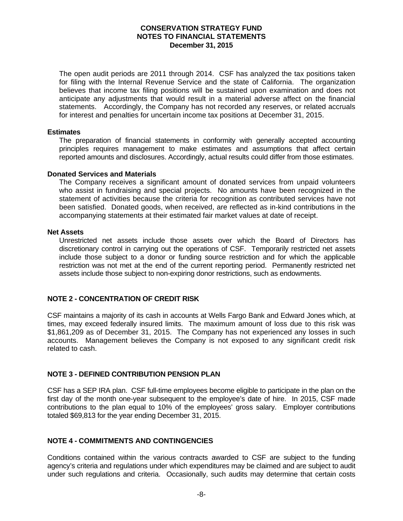The open audit periods are 2011 through 2014. CSF has analyzed the tax positions taken for filing with the Internal Revenue Service and the state of California. The organization believes that income tax filing positions will be sustained upon examination and does not anticipate any adjustments that would result in a material adverse affect on the financial statements. Accordingly, the Company has not recorded any reserves, or related accruals for interest and penalties for uncertain income tax positions at December 31, 2015.

#### **Estimates**

The preparation of financial statements in conformity with generally accepted accounting principles requires management to make estimates and assumptions that affect certain reported amounts and disclosures. Accordingly, actual results could differ from those estimates.

#### **Donated Services and Materials**

The Company receives a significant amount of donated services from unpaid volunteers who assist in fundraising and special projects. No amounts have been recognized in the statement of activities because the criteria for recognition as contributed services have not been satisfied. Donated goods, when received, are reflected as in-kind contributions in the accompanying statements at their estimated fair market values at date of receipt.

#### **Net Assets**

Unrestricted net assets include those assets over which the Board of Directors has discretionary control in carrying out the operations of CSF. Temporarily restricted net assets include those subject to a donor or funding source restriction and for which the applicable restriction was not met at the end of the current reporting period. Permanently restricted net assets include those subject to non-expiring donor restrictions, such as endowments.

## **NOTE 2 - CONCENTRATION OF CREDIT RISK**

CSF maintains a majority of its cash in accounts at Wells Fargo Bank and Edward Jones which, at times, may exceed federally insured limits. The maximum amount of loss due to this risk was \$1,861,209 as of December 31, 2015. The Company has not experienced any losses in such accounts. Management believes the Company is not exposed to any significant credit risk related to cash.

#### **NOTE 3 - DEFINED CONTRIBUTION PENSION PLAN**

CSF has a SEP IRA plan. CSF full-time employees become eligible to participate in the plan on the first day of the month one-year subsequent to the employee's date of hire. In 2015, CSF made contributions to the plan equal to 10% of the employees' gross salary. Employer contributions totaled \$69,813 for the year ending December 31, 2015.

## **NOTE 4 - COMMITMENTS AND CONTINGENCIES**

Conditions contained within the various contracts awarded to CSF are subject to the funding agency's criteria and regulations under which expenditures may be claimed and are subject to audit under such regulations and criteria. Occasionally, such audits may determine that certain costs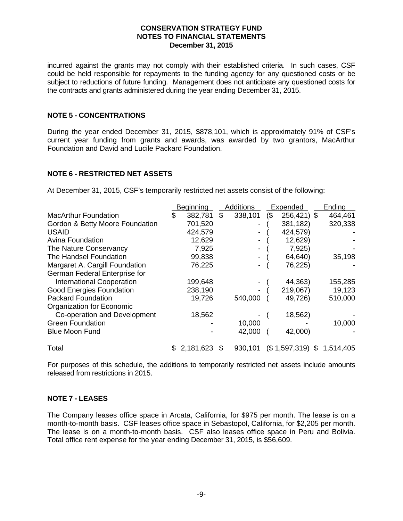incurred against the grants may not comply with their established criteria. In such cases, CSF could be held responsible for repayments to the funding agency for any questioned costs or be subject to reductions of future funding. Management does not anticipate any questioned costs for the contracts and grants administered during the year ending December 31, 2015.

### **NOTE 5 - CONCENTRATIONS**

During the year ended December 31, 2015, \$878,101, which is approximately 91% of CSF's current year funding from grants and awards, was awarded by two grantors, MacArthur Foundation and David and Lucile Packard Foundation.

## **NOTE 6 - RESTRICTED NET ASSETS**

At December 31, 2015, CSF's temporarily restricted net assets consist of the following:

|                                  | <b>Beginning</b> | Additions      | Expended                 | Ending           |
|----------------------------------|------------------|----------------|--------------------------|------------------|
| <b>MacArthur Foundation</b>      | \$<br>382,781    | \$<br>338,101  | (\$<br>256,421) \$       | 464,461          |
| Gordon & Betty Moore Foundation  | 701,520          |                | 381,182)                 | 320,338          |
| <b>USAID</b>                     | 424,579          |                | 424,579)                 |                  |
| Avina Foundation                 | 12,629           |                | 12,629)                  |                  |
| The Nature Conservancy           | 7,925            |                | 7,925                    |                  |
| The Handsel Foundation           | 99,838           |                | 64,640)                  | 35,198           |
| Margaret A. Cargill Foundation   | 76,225           |                | 76,225)                  |                  |
| German Federal Enterprise for    |                  |                |                          |                  |
| <b>International Cooperation</b> | 199,648          |                | 44,363)                  | 155,285          |
| <b>Good Energies Foundation</b>  | 238,190          |                | 219,067)                 | 19,123           |
| <b>Packard Foundation</b>        | 19,726           | 540,000        | 49,726)                  | 510,000          |
| Organization for Economic        |                  |                |                          |                  |
| Co-operation and Development     | 18,562           |                | 18,562)                  |                  |
| <b>Green Foundation</b>          |                  | 10,000         |                          | 10,000           |
| <b>Blue Moon Fund</b>            |                  | 42,000         | 42,000)                  |                  |
| Total                            | <u>2,181,623</u> | <u>930,101</u> | <u>1,597,319</u> )<br>68 | <u>1,514,405</u> |

For purposes of this schedule, the additions to temporarily restricted net assets include amounts released from restrictions in 2015.

#### **NOTE 7 - LEASES**

The Company leases office space in Arcata, California, for \$975 per month. The lease is on a month-to-month basis. CSF leases office space in Sebastopol, California, for \$2,205 per month. The lease is on a month-to-month basis. CSF also leases office space in Peru and Bolivia. Total office rent expense for the year ending December 31, 2015, is \$56,609.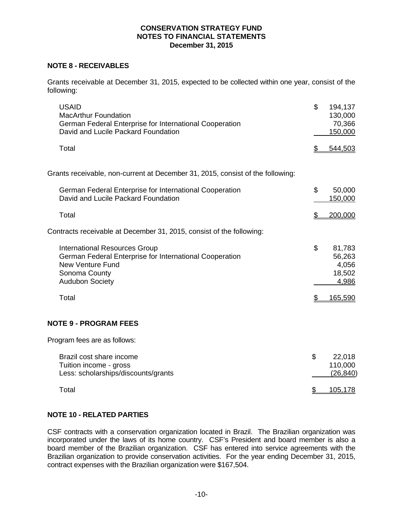## **NOTE 8 - RECEIVABLES**

Grants receivable at December 31, 2015, expected to be collected within one year, consist of the following:

| <b>USAID</b><br><b>MacArthur Foundation</b><br>German Federal Enterprise for International Cooperation<br>David and Lucile Packard Foundation                         | \$<br>194,137<br>130,000<br>70,366<br>150,000 |                |
|-----------------------------------------------------------------------------------------------------------------------------------------------------------------------|-----------------------------------------------|----------------|
| Total                                                                                                                                                                 | 544,503<br>\$                                 |                |
| Grants receivable, non-current at December 31, 2015, consist of the following:                                                                                        |                                               |                |
| German Federal Enterprise for International Cooperation<br>David and Lucile Packard Foundation                                                                        | \$<br>50,000<br>150,000                       |                |
| Total                                                                                                                                                                 | \$<br>200,000                                 |                |
| Contracts receivable at December 31, 2015, consist of the following:                                                                                                  |                                               |                |
| <b>International Resources Group</b><br>German Federal Enterprise for International Cooperation<br><b>New Venture Fund</b><br>Sonoma County<br><b>Audubon Society</b> | \$<br>81,783<br>56,263<br>18,502              | 4,056<br>4,986 |
| Total                                                                                                                                                                 | \$<br>165,590                                 |                |
| <b>NOTE 9 - PROGRAM FEES</b>                                                                                                                                          |                                               |                |
| Program fees are as follows:                                                                                                                                          |                                               |                |
| Brazil cost share income<br>Tuition income - gross<br>Less: scholarships/discounts/grants                                                                             | \$<br>22,018<br>110,000<br>(26, 840)          |                |
| Total                                                                                                                                                                 | \$<br>105,178                                 |                |

#### **NOTE 10 - RELATED PARTIES**

CSF contracts with a conservation organization located in Brazil. The Brazilian organization was incorporated under the laws of its home country. CSF's President and board member is also a board member of the Brazilian organization. CSF has entered into service agreements with the Brazilian organization to provide conservation activities. For the year ending December 31, 2015, contract expenses with the Brazilian organization were \$167,504.